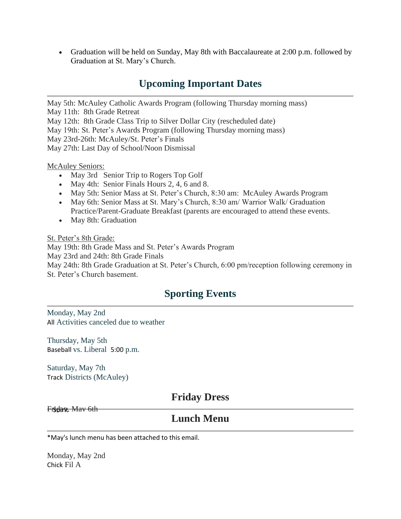• Graduation will be held on Sunday, May 8th with Baccalaureate at 2:00 p.m. followed by Graduation at St. Mary's Church.

# **Upcoming Important Dates**

May 5th: McAuley Catholic Awards Program (following Thursday morning mass)

May 11th: 8th Grade Retreat

May 12th: 8th Grade Class Trip to Silver Dollar City (rescheduled date)

May 19th: St. Peter's Awards Program (following Thursday morning mass)

May 23rd-26th: McAuley/St. Peter's Finals

May 27th: Last Day of School/Noon Dismissal

McAuley Seniors:

- May 3rd Senior Trip to Rogers Top Golf
- May 4th: Senior Finals Hours 2, 4, 6 and 8.
- May 5th: Senior Mass at St. Peter's Church, 8:30 am: McAuley Awards Program
- May 6th: Senior Mass at St. Mary's Church, 8:30 am/ Warrior Walk/ Graduation Practice/Parent-Graduate Breakfast (parents are encouraged to attend these events.
- May 8th: Graduation

St. Peter's 8th Grade:

May 19th: 8th Grade Mass and St. Peter's Awards Program May 23rd and 24th: 8th Grade Finals May 24th: 8th Grade Graduation at St. Peter's Church, 6:00 pm/reception following ceremony in St. Peter's Church basement.

# **Sporting Events**

Monday, May 2nd All Activities canceled due to weather

Thursday, May 5th Baseball vs. Liberal 5:00 p.m.

Saturday, May 7th Track Districts (McAuley)

### **Friday Dress**

Friday, May 6th

### **Lunch Menu**

\*May's lunch menu has been attached to this email.

Monday, May 2nd Chick Fil A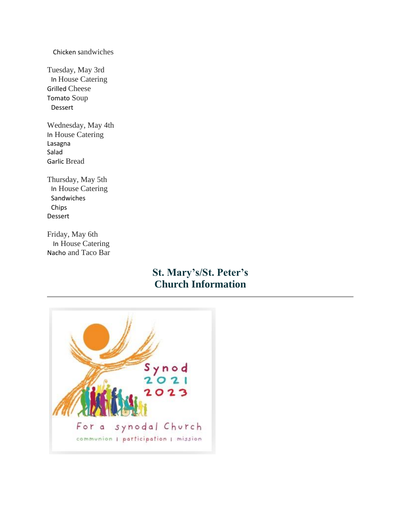#### Chicken sandwiches

Tuesday, May 3rd In House Catering Grilled Cheese Tomato Soup Dessert

Wednesday, May 4th In House Catering Lasagna Salad Garlic Bread

Thursday, May 5th In House Catering Sandwiches Chips Dessert

Friday, May 6th In House Catering Nacho and Taco Bar

# **St. Mary's/St. Peter's Church Information**